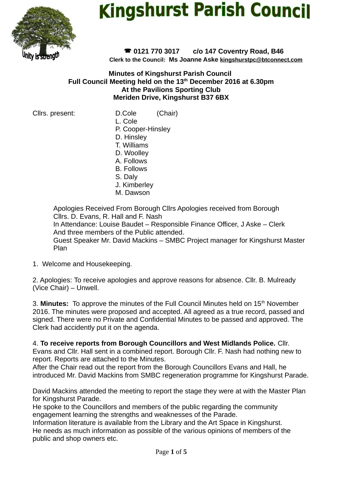

# **Kingshurst Parish Council**

 **0121 770 3017 c/o 147 Coventry Road, B46 Clerk to the Council: Ms Joanne Aske [kingshurstpc@btconnect.com](mailto:kingshurstpc@btconnect.com)**

**Minutes of Kingshurst Parish Council Full Council Meeting held on the 13th December 2016 at 6.30pm At the Pavilions Sporting Club Meriden Drive, Kingshurst B37 6BX**

Cllrs. present: D.Cole (Chair)

- L. Cole
- P. Cooper-Hinsley
- D. Hinsley
- T. Williams D. Woolley
- A. Follows
- B. Follows
- S. Daly
- J. Kimberley
- M. Dawson

Apologies Received From Borough Cllrs Apologies received from Borough Cllrs. D. Evans, R. Hall and F. Nash In Attendance: Louise Baudet – Responsible Finance Officer, J Aske – Clerk And three members of the Public attended. Guest Speaker Mr. David Mackins – SMBC Project manager for Kingshurst Master Plan

1. Welcome and Housekeeping.

2. Apologies: To receive apologies and approve reasons for absence. Cllr. B. Mulready (Vice Chair) – Unwell.

3. **Minutes:** To approve the minutes of the Full Council Minutes held on 15<sup>th</sup> November 2016. The minutes were proposed and accepted. All agreed as a true record, passed and signed. There were no Private and Confidential Minutes to be passed and approved. The Clerk had accidently put it on the agenda.

4. **To receive reports from Borough Councillors and West Midlands Police.** Cllr. Evans and Cllr. Hall sent in a combined report. Borough Cllr. F. Nash had nothing new to report. Reports are attached to the Minutes.

After the Chair read out the report from the Borough Councillors Evans and Hall, he introduced Mr. David Mackins from SMBC regeneration programme for Kingshurst Parade.

David Mackins attended the meeting to report the stage they were at with the Master Plan for Kingshurst Parade.

He spoke to the Councillors and members of the public regarding the community engagement learning the strengths and weaknesses of the Parade.

Information literature is available from the Library and the Art Space in Kingshurst. He needs as much information as possible of the various opinions of members of the public and shop owners etc.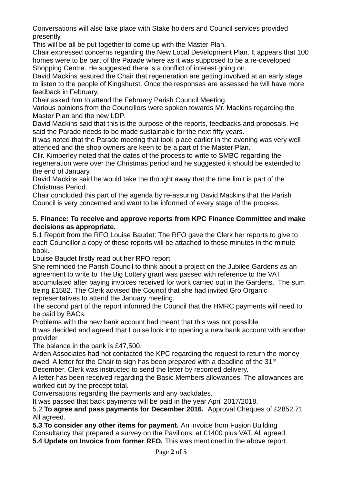Conversations will also take place with Stake holders and Council services provided presently.

This will be all be put together to come up with the Master Plan.

Chair expressed concerns regarding the New Local Development Plan. It appears that 100 homes were to be part of the Parade where as it was supposed to be a re-developed Shopping Centre. He suggested there is a conflict of interest going on.

David Mackins assured the Chair that regeneration are getting involved at an early stage to listen to the people of Kingshurst. Once the responses are assessed he will have more feedback in February.

Chair asked him to attend the February Parish Council Meeting.

Various opinions from the Councillors were spoken towards Mr. Mackins regarding the Master Plan and the new LDP.

David Mackins said that this is the purpose of the reports, feedbacks and proposals. He said the Parade needs to be made sustainable for the next fifty years.

It was noted that the Parade meeting that took place earlier in the evening was very well attended and the shop owners are keen to be a part of the Master Plan.

Cllr. Kimberley noted that the dates of the process to write to SMBC regarding the regeneration were over the Christmas period and he suggested it should be extended to the end of January.

David Mackins said he would take the thought away that the time limit is part of the Christmas Period.

Chair concluded this part of the agenda by re-assuring David Mackins that the Parish Council is very concerned and want to be informed of every stage of the process.

### 5. **Finance: To receive and approve reports from KPC Finance Committee and make decisions as appropriate.**

5.1 Report from the RFO Louise Baudet: The RFO gave the Clerk her reports to give to each Councillor a copy of these reports will be attached to these minutes in the minute book.

Louise Baudet firstly read out her RFO report.

She reminded the Parish Council to think about a project on the Jubilee Gardens as an agreement to write to The Big Lottery grant was passed with reference to the VAT accumulated after paying invoices received for work carried out in the Gardens. The sum being £1582. The Clerk advised the Council that she had invited Gro Organic representatives to attend the January meeting.

The second part of the report informed the Council that the HMRC payments will need to be paid by BACs.

Problems with the new bank account had meant that this was not possible.

It was decided and agreed that Louise look into opening a new bank account with another provider.

The balance in the bank is £47,500.

Arden Associates had not contacted the KPC regarding the request to return the money owed. A letter for the Chair to sign has been prepared with a deadline of the  $31<sup>st</sup>$ December. Clerk was instructed to send the letter by recorded delivery.

A letter has been received regarding the Basic Members allowances. The allowances are worked out by the precept total.

Conversations regarding the payments and any backdates.

It was passed that back payments will be paid in the year April 2017/2018.

5.2 **To agree and pass payments for December 2016.** Approval Cheques of £2852.71 All agreed.

**5.3 To consider any other items for payment.** An invoice from Fusion Building Consultancy that prepared a survey on the Pavilions, at £1400 plus VAT. All agreed. **5.4 Update on Invoice from former RFO.** This was mentioned in the above report.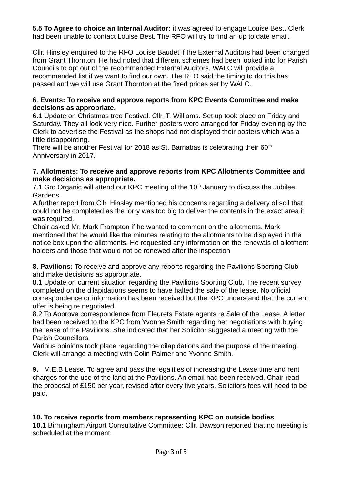**5.5 To Agree to choice an Internal Auditor:** it was agreed to engage Louise Best**.** Clerk had been unable to contact Louise Best. The RFO will try to find an up to date email.

Cllr. Hinsley enquired to the RFO Louise Baudet if the External Auditors had been changed from Grant Thornton. He had noted that different schemes had been looked into for Parish Councils to opt out of the recommended External Auditors. WALC will provide a recommended list if we want to find our own. The RFO said the timing to do this has passed and we will use Grant Thornton at the fixed prices set by WALC.

### 6. **Events: To receive and approve reports from KPC Events Committee and make decisions as appropriate.**

6.1 Update on Christmas tree Festival. Cllr. T. Williams. Set up took place on Friday and Saturday. They all look very nice. Further posters were arranged for Friday evening by the Clerk to advertise the Festival as the shops had not displayed their posters which was a little disappointing.

There will be another Festival for 2018 as St. Barnabas is celebrating their  $60<sup>th</sup>$ Anniversary in 2017.

#### **7. Allotments: To receive and approve reports from KPC Allotments Committee and make decisions as appropriate.**

7.1 Gro Organic will attend our KPC meeting of the  $10<sup>th</sup>$  January to discuss the Jubilee Gardens.

A further report from Cllr. Hinsley mentioned his concerns regarding a delivery of soil that could not be completed as the lorry was too big to deliver the contents in the exact area it was required.

Chair asked Mr. Mark Frampton if he wanted to comment on the allotments. Mark mentioned that he would like the minutes relating to the allotments to be displayed in the notice box upon the allotments. He requested any information on the renewals of allotment holders and those that would not be renewed after the inspection

**8**. **Pavilions:** To receive and approve any reports regarding the Pavilions Sporting Club and make decisions as appropriate.

8.1 Update on current situation regarding the Pavilions Sporting Club. The recent survey completed on the dilapidations seems to have halted the sale of the lease. No official correspondence or information has been received but the KPC understand that the current offer is being re negotiated.

8.2 To Approve correspondence from Fleurets Estate agents re Sale of the Lease. A letter had been received to the KPC from Yvonne Smith regarding her negotiations with buying the lease of the Pavilions. She indicated that her Solicitor suggested a meeting with the Parish Councillors.

Various opinions took place regarding the dilapidations and the purpose of the meeting. Clerk will arrange a meeting with Colin Palmer and Yvonne Smith.

**9.** M.E.B Lease. To agree and pass the legalities of increasing the Lease time and rent charges for the use of the land at the Pavilions. An email had been received, Chair read the proposal of £150 per year, revised after every five years. Solicitors fees will need to be paid.

# **10. To receive reports from members representing KPC on outside bodies**

**10.1** Birmingham Airport Consultative Committee: Cllr. Dawson reported that no meeting is scheduled at the moment.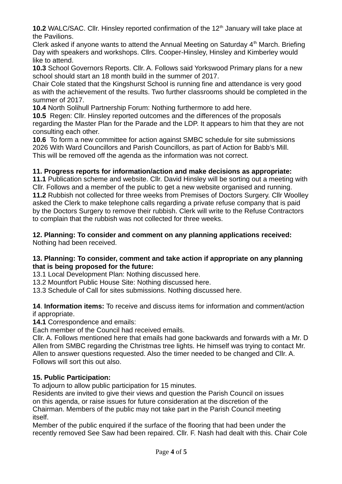**10.2** WALC/SAC. Cllr. Hinsley reported confirmation of the 12<sup>th</sup> January will take place at the Pavilions.

Clerk asked if anyone wants to attend the Annual Meeting on Saturday  $4<sup>th</sup>$  March. Briefing Day with speakers and workshops. Cllrs. Cooper-Hinsley, Hinsley and Kimberley would like to attend.

**10.3** School Governors Reports. Cllr. A. Follows said Yorkswood Primary plans for a new school should start an 18 month build in the summer of 2017.

Chair Cole stated that the Kingshurst School is running fine and attendance is very good as with the achievement of the results. Two further classrooms should be completed in the summer of 2017.

**10.4** North Solihull Partnership Forum: Nothing furthermore to add here.

**10.5** Regen: Cllr. Hinsley reported outcomes and the differences of the proposals regarding the Master Plan for the Parade and the LDP. It appears to him that they are not consulting each other.

**10.6** To form a new committee for action against SMBC schedule for site submissions 2026 With Ward Councillors and Parish Councillors, as part of Action for Babb's Mill. This will be removed off the agenda as the information was not correct.

# **11. Progress reports for information/action and make decisions as appropriate:**

**11.1** Publication scheme and website. Cllr. David Hinsley will be sorting out a meeting with Cllr. Follows and a member of the public to get a new website organised and running. **11.2** Rubbish not collected for three weeks from Premises of Doctors Surgery. Cllr Woolley asked the Clerk to make telephone calls regarding a private refuse company that is paid by the Doctors Surgery to remove their rubbish. Clerk will write to the Refuse Contractors to complain that the rubbish was not collected for three weeks.

**12. Planning: To consider and comment on any planning applications received:**  Nothing had been received.

### **13. Planning: To consider, comment and take action if appropriate on any planning that is being proposed for the future:**

13.1 Local Development Plan: Nothing discussed here.

13.2 Mountfort Public House Site: Nothing discussed here.

13.3 Schedule of Call for sites submissions. Nothing discussed here.

**14**. **Information items:** To receive and discuss items for information and comment/action if appropriate.

**14.1** Correspondence and emails:

Each member of the Council had received emails.

Cllr. A. Follows mentioned here that emails had gone backwards and forwards with a Mr. D Allen from SMBC regarding the Christmas tree lights. He himself was trying to contact Mr. Allen to answer questions requested. Also the timer needed to be changed and Cllr. A. Follows will sort this out also.

# **15. Public Participation:**

To adjourn to allow public participation for 15 minutes.

Residents are invited to give their views and question the Parish Council on issues on this agenda, or raise issues for future consideration at the discretion of the Chairman. Members of the public may not take part in the Parish Council meeting itself.

Member of the public enquired if the surface of the flooring that had been under the recently removed See Saw had been repaired. Cllr. F. Nash had dealt with this. Chair Cole